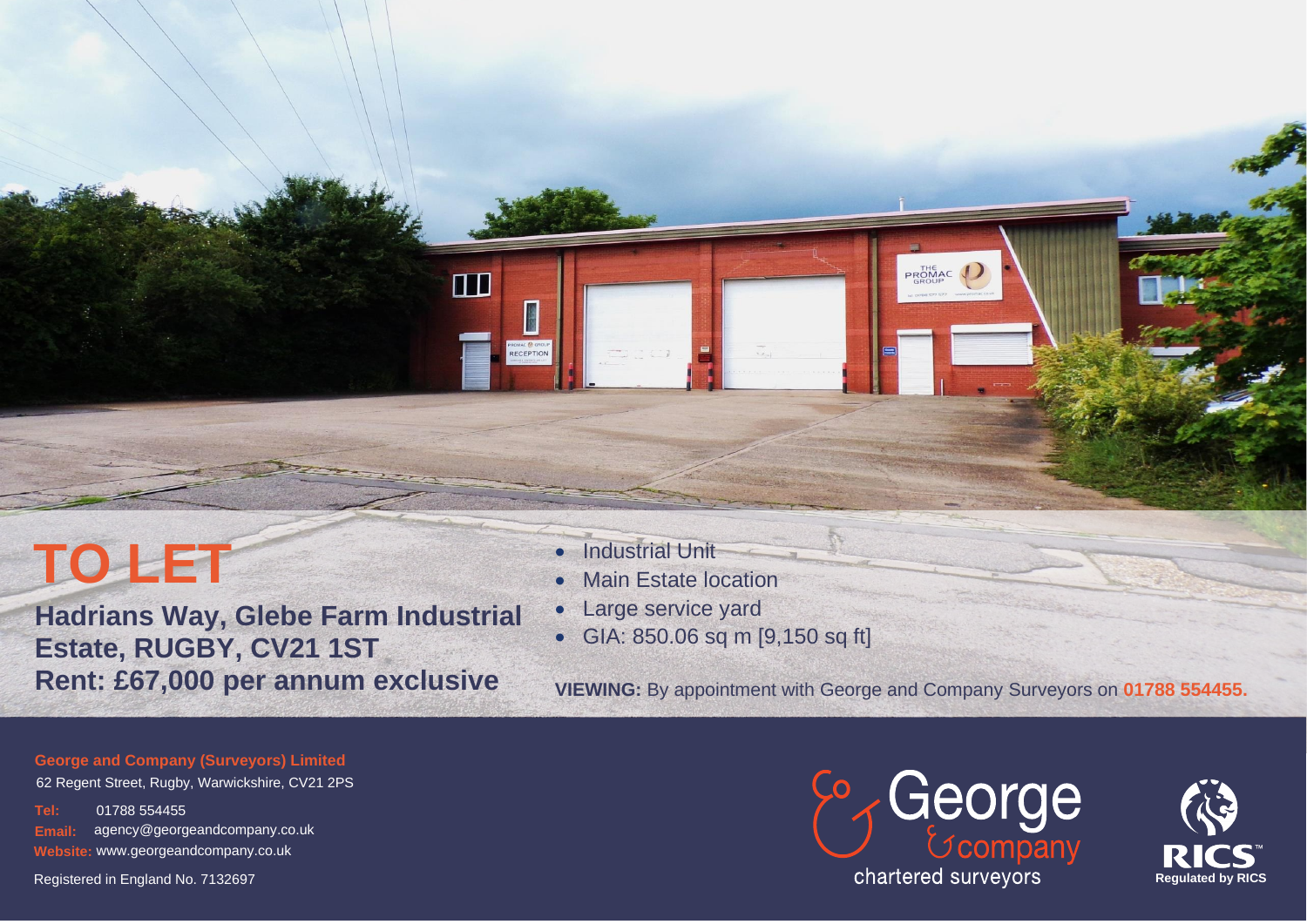# **TO LET**

**Hadrians Way, Glebe Farm Industrial Estate, RUGBY, CV21 1ST Rent: £67,000 per annum exclusive VIEWING: By appointment with George and Company Surveyors on 01788 554455.** 

**Industrial Unit** 

 $\Box$ 

图 PROMAC <sup>O</sup> GROUP<br>RECEPTION

- **Main Estate location**
- Large service yard
- GIA: 850.06 sq m [9,150 sq ft]

PROMAC

**George and Company (Surveyors) Limited** 

62 Regent Street, Rugby, Warwickshire, CV21 2PS

**Tel:** 01788 554455 **Email:** agency@georgeandcompany.co.uk **Website:** www.georgeandcompany.co.uk

Registered in England No. 7132697